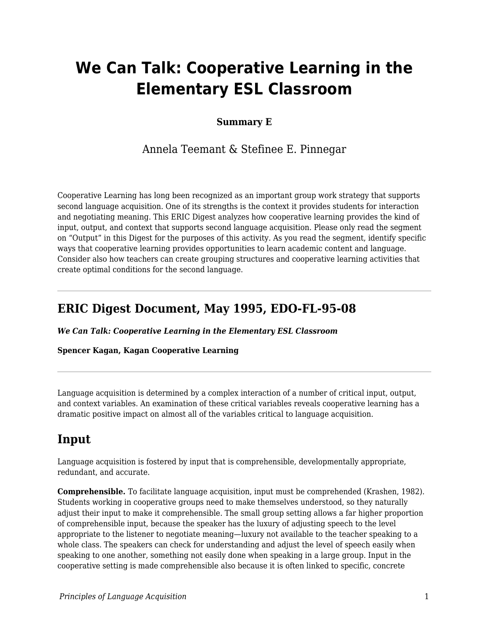# **We Can Talk: Cooperative Learning in the Elementary ESL Classroom**

### **Summary E**

Annela Teemant & Stefinee E. Pinnegar

Cooperative Learning has long been recognized as an important group work strategy that supports second language acquisition. One of its strengths is the context it provides students for interaction and negotiating meaning. This ERIC Digest analyzes how cooperative learning provides the kind of input, output, and context that supports second language acquisition. Please only read the segment on "Output" in this Digest for the purposes of this activity. As you read the segment, identify specific ways that cooperative learning provides opportunities to learn academic content and language. Consider also how teachers can create grouping structures and cooperative learning activities that create optimal conditions for the second language.

### **ERIC Digest Document, May 1995, EDO-FL-95-08**

*We Can Talk: Cooperative Learning in the Elementary ESL Classroom*

#### **Spencer Kagan, Kagan Cooperative Learning**

Language acquisition is determined by a complex interaction of a number of critical input, output, and context variables. An examination of these critical variables reveals cooperative learning has a dramatic positive impact on almost all of the variables critical to language acquisition.

### **Input**

Language acquisition is fostered by input that is comprehensible, developmentally appropriate, redundant, and accurate.

**Comprehensible.** To facilitate language acquisition, input must be comprehended (Krashen, 1982). Students working in cooperative groups need to make themselves understood, so they naturally adjust their input to make it comprehensible. The small group setting allows a far higher proportion of comprehensible input, because the speaker has the luxury of adjusting speech to the level appropriate to the listener to negotiate meaning—luxury not available to the teacher speaking to a whole class. The speakers can check for understanding and adjust the level of speech easily when speaking to one another, something not easily done when speaking in a large group. Input in the cooperative setting is made comprehensible also because it is often linked to specific, concrete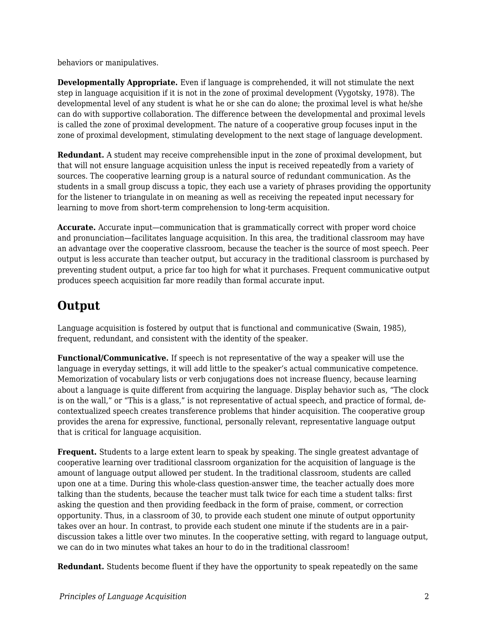behaviors or manipulatives.

**Developmentally Appropriate.** Even if language is comprehended, it will not stimulate the next step in language acquisition if it is not in the zone of proximal development (Vygotsky, 1978). The developmental level of any student is what he or she can do alone; the proximal level is what he/she can do with supportive collaboration. The difference between the developmental and proximal levels is called the zone of proximal development. The nature of a cooperative group focuses input in the zone of proximal development, stimulating development to the next stage of language development.

**Redundant.** A student may receive comprehensible input in the zone of proximal development, but that will not ensure language acquisition unless the input is received repeatedly from a variety of sources. The cooperative learning group is a natural source of redundant communication. As the students in a small group discuss a topic, they each use a variety of phrases providing the opportunity for the listener to triangulate in on meaning as well as receiving the repeated input necessary for learning to move from short-term comprehension to long-term acquisition.

**Accurate.** Accurate input—communication that is grammatically correct with proper word choice and pronunciation—facilitates language acquisition. In this area, the traditional classroom may have an advantage over the cooperative classroom, because the teacher is the source of most speech. Peer output is less accurate than teacher output, but accuracy in the traditional classroom is purchased by preventing student output, a price far too high for what it purchases. Frequent communicative output produces speech acquisition far more readily than formal accurate input.

# **Output**

Language acquisition is fostered by output that is functional and communicative (Swain, 1985), frequent, redundant, and consistent with the identity of the speaker.

**Functional/Communicative.** If speech is not representative of the way a speaker will use the language in everyday settings, it will add little to the speaker's actual communicative competence. Memorization of vocabulary lists or verb conjugations does not increase fluency, because learning about a language is quite different from acquiring the language. Display behavior such as, "The clock is on the wall," or "This is a glass," is not representative of actual speech, and practice of formal, decontextualized speech creates transference problems that hinder acquisition. The cooperative group provides the arena for expressive, functional, personally relevant, representative language output that is critical for language acquisition.

**Frequent.** Students to a large extent learn to speak by speaking. The single greatest advantage of cooperative learning over traditional classroom organization for the acquisition of language is the amount of language output allowed per student. In the traditional classroom, students are called upon one at a time. During this whole-class question-answer time, the teacher actually does more talking than the students, because the teacher must talk twice for each time a student talks: first asking the question and then providing feedback in the form of praise, comment, or correction opportunity. Thus, in a classroom of 30, to provide each student one minute of output opportunity takes over an hour. In contrast, to provide each student one minute if the students are in a pairdiscussion takes a little over two minutes. In the cooperative setting, with regard to language output, we can do in two minutes what takes an hour to do in the traditional classroom!

**Redundant.** Students become fluent if they have the opportunity to speak repeatedly on the same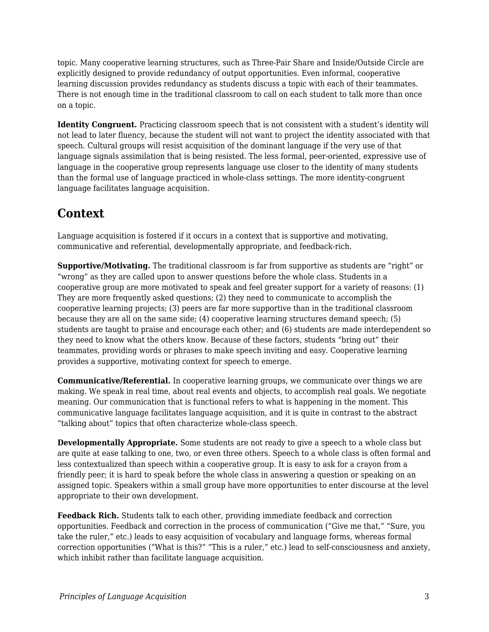topic. Many cooperative learning structures, such as Three-Pair Share and Inside/Outside Circle are explicitly designed to provide redundancy of output opportunities. Even informal, cooperative learning discussion provides redundancy as students discuss a topic with each of their teammates. There is not enough time in the traditional classroom to call on each student to talk more than once on a topic.

**Identity Congruent.** Practicing classroom speech that is not consistent with a student's identity will not lead to later fluency, because the student will not want to project the identity associated with that speech. Cultural groups will resist acquisition of the dominant language if the very use of that language signals assimilation that is being resisted. The less formal, peer-oriented, expressive use of language in the cooperative group represents language use closer to the identity of many students than the formal use of language practiced in whole-class settings. The more identity-congruent language facilitates language acquisition.

## **Context**

Language acquisition is fostered if it occurs in a context that is supportive and motivating, communicative and referential, developmentally appropriate, and feedback-rich.

**Supportive/Motivating.** The traditional classroom is far from supportive as students are "right" or "wrong" as they are called upon to answer questions before the whole class. Students in a cooperative group are more motivated to speak and feel greater support for a variety of reasons: (1) They are more frequently asked questions; (2) they need to communicate to accomplish the cooperative learning projects; (3) peers are far more supportive than in the traditional classroom because they are all on the same side; (4) cooperative learning structures demand speech; (5) students are taught to praise and encourage each other; and (6) students are made interdependent so they need to know what the others know. Because of these factors, students "bring out" their teammates, providing words or phrases to make speech inviting and easy. Cooperative learning provides a supportive, motivating context for speech to emerge.

**Communicative/Referential.** In cooperative learning groups, we communicate over things we are making. We speak in real time, about real events and objects, to accomplish real goals. We negotiate meaning. Our communication that is functional refers to what is happening in the moment. This communicative language facilitates language acquisition, and it is quite in contrast to the abstract "talking about" topics that often characterize whole-class speech.

**Developmentally Appropriate.** Some students are not ready to give a speech to a whole class but are quite at ease talking to one, two, or even three others. Speech to a whole class is often formal and less contextualized than speech within a cooperative group. It is easy to ask for a crayon from a friendly peer; it is hard to speak before the whole class in answering a question or speaking on an assigned topic. Speakers within a small group have more opportunities to enter discourse at the level appropriate to their own development.

**Feedback Rich.** Students talk to each other, providing immediate feedback and correction opportunities. Feedback and correction in the process of communication ("Give me that," "Sure, you take the ruler," etc.) leads to easy acquisition of vocabulary and language forms, whereas formal correction opportunities ("What is this?" "This is a ruler," etc.) lead to self-consciousness and anxiety, which inhibit rather than facilitate language acquisition.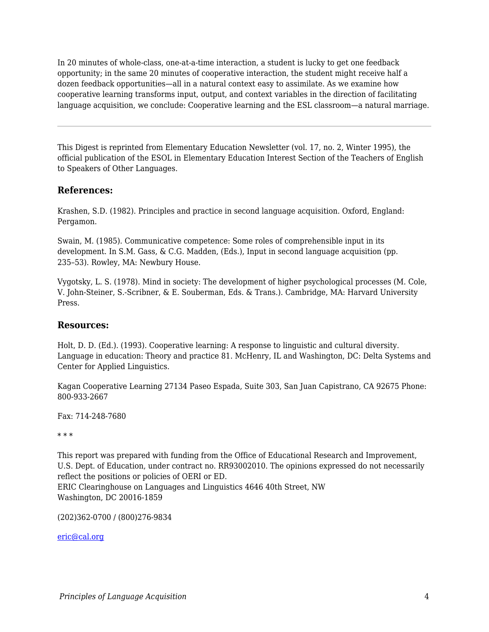In 20 minutes of whole-class, one-at-a-time interaction, a student is lucky to get one feedback opportunity; in the same 20 minutes of cooperative interaction, the student might receive half a dozen feedback opportunities—all in a natural context easy to assimilate. As we examine how cooperative learning transforms input, output, and context variables in the direction of facilitating language acquisition, we conclude: Cooperative learning and the ESL classroom—a natural marriage.

This Digest is reprinted from Elementary Education Newsletter (vol. 17, no. 2, Winter 1995), the official publication of the ESOL in Elementary Education Interest Section of the Teachers of English to Speakers of Other Languages.

### **References:**

Krashen, S.D. (1982). Principles and practice in second language acquisition. Oxford, England: Pergamon.

Swain, M. (1985). Communicative competence: Some roles of comprehensible input in its development. In S.M. Gass, & C.G. Madden, (Eds.), Input in second language acquisition (pp. 235–53). Rowley, MA: Newbury House.

Vygotsky, L. S. (1978). Mind in society: The development of higher psychological processes (M. Cole, V. John-Steiner, S.-Scribner, & E. Souberman, Eds. & Trans.). Cambridge, MA: Harvard University Press.

### **Resources:**

Holt, D. D. (Ed.). (1993). Cooperative learning: A response to linguistic and cultural diversity. Language in education: Theory and practice 81. McHenry, IL and Washington, DC: Delta Systems and Center for Applied Linguistics.

Kagan Cooperative Learning 27134 Paseo Espada, Suite 303, San Juan Capistrano, CA 92675 Phone: 800-933-2667

Fax: 714-248-7680

\* \* \*

This report was prepared with funding from the Office of Educational Research and Improvement, U.S. Dept. of Education, under contract no. RR93002010. The opinions expressed do not necessarily reflect the positions or policies of OERI or ED. ERIC Clearinghouse on Languages and Linguistics 4646 40th Street, NW Washington, DC 20016-1859

(202)362-0700 / (800)276-9834

[eric@cal.org](mailto:eric@cal.org)